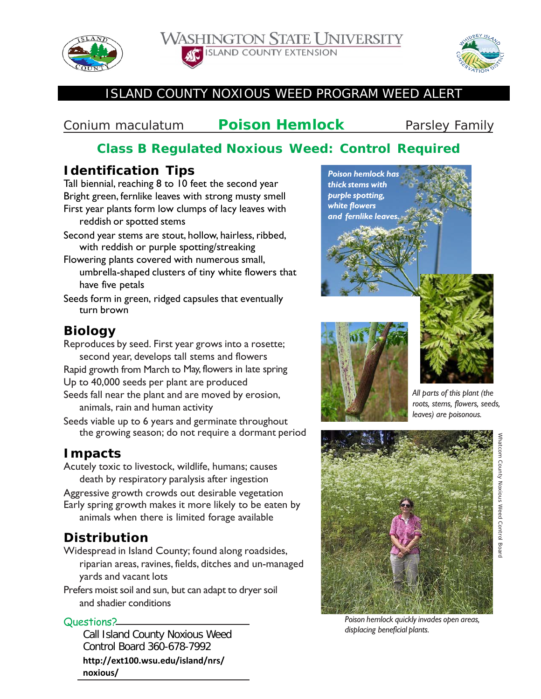

**WASHINGTON STATE UNIVERSITY ISLAND COUNTY EXTENSION** 



### ISLAND COUNTY NOXIOUS WEED PROGRAM WEED ALERT

# *Conium maculatum* **Poison Hemlock** Parsley Family

# **Class B Regulated Noxious Weed: Control Required**

## **Identification Tips**

Tall biennial, reaching 8 to 10 feet the second year Bright green, fernlike leaves with strong musty smell First year plants form low clumps of lacy leaves with reddish or spotted stems

- Second year stems are stout, hollow, hairless, ribbed, with reddish or purple spotting/streaking
- Flowering plants covered with numerous small, umbrella-shaped clusters of tiny white flowers that have five petals
- Seeds form in green, ridged capsules that eventually turn brown

# **Biology**

- Reproduces by seed. First year grows into a rosette; second year, develops tall stems and flowers Rapid growth from March to May, flowers in late spring
- Up to 40,000 seeds per plant are produced
- Seeds fall near the plant and are moved by erosion, animals, rain and human activity
- Seeds viable up to 6 years and germinate throughout the growing season; do not require a dormant period

#### **Impacts**

Acutely toxic to livestock, wildlife, humans; causes death by respiratory paralysis after ingestion

Aggressive growth crowds out desirable vegetation Early spring growth makes it more likely to be eaten by animals when there is limited forage available

# **Distribution**

Widespread in Island County; found along roadsides, riparian areas, ravines, fields, ditches and un-managed yards and vacant lots

Prefers moist soil and sun, but can adapt to dryer soil and shadier conditions

#### Questions?

Call Island County Noxious Weed Control Board 360-678-7992

**http://ext100.wsu.edu/island/nrs/ noxious/**





*All parts of this plant (the roots, stems, flowers, seeds, leaves) are poisonous.*



*Poison hemlock quicklyinvades open areas, displacing beneficial plants.*